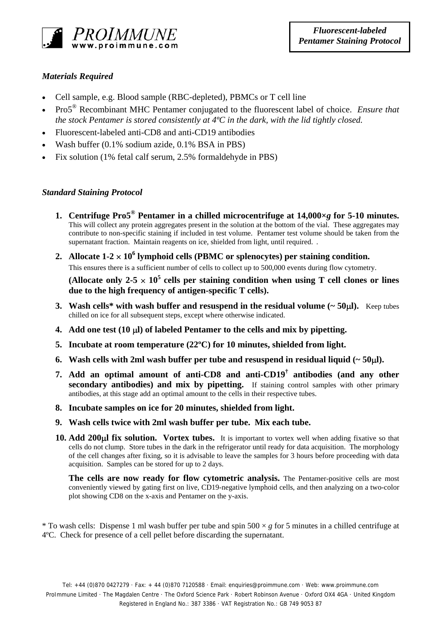

## *Materials Required*

- Cell sample, e.g. Blood sample (RBC-depleted), PBMCs or T cell line
- Pro5® Recombinant MHC Pentamer conjugated to the fluorescent label of choice. *Ensure that the stock Pentamer is stored consistently at 4ºC in the dark, with the lid tightly closed.*
- Fluorescent-labeled anti-CD8 and anti-CD19 antibodies
- Wash buffer (0.1% sodium azide, 0.1% BSA in PBS)
- Fix solution (1% fetal calf serum, 2.5% formaldehyde in PBS)

## *Standard Staining Protocol*

- **1. Centrifuge Pro5® Pentamer in a chilled microcentrifuge at 14,000×***g* **for 5-10 minutes.**  This will collect any protein aggregates present in the solution at the bottom of the vial. These aggregates may contribute to non-specific staining if included in test volume. Pentamer test volume should be taken from the supernatant fraction. Maintain reagents on ice, shielded from light, until required. .
- 2. Allocate  $1-2 \times 10^6$  lymphoid cells (PBMC or splenocytes) per staining condition.

This ensures there is a sufficient number of cells to collect up to 500,000 events during flow cytometry.

(Allocate only 2-5  $\times$  10<sup>5</sup> cells per staining condition when using T cell clones or lines **due to the high frequency of antigen-specific T cells).** 

- **3.** Wash cells\* with wash buffer and resuspend in the residual volume  $($   $>$  50 $\mu$  $)$ . Keep tubes chilled on ice for all subsequent steps, except where otherwise indicated.
- **4. Add one test (10** µ**l) of labeled Pentamer to the cells and mix by pipetting.**
- **5. Incubate at room temperature (22ºC) for 10 minutes, shielded from light.**
- **6.** Wash cells with 2ml wash buffer per tube and resuspend in residual liquid  $(-50\mu)$ .
- **7. Add an optimal amount of anti-CD8 and anti-CD19† antibodies (and any other secondary antibodies) and mix by pipetting.** If staining control samples with other primary antibodies, at this stage add an optimal amount to the cells in their respective tubes.
- **8. Incubate samples on ice for 20 minutes, shielded from light.**
- **9. Wash cells twice with 2ml wash buffer per tube. Mix each tube.**
- **10. Add 200**µ**l fix solution. Vortex tubes.** It is important to vortex well when adding fixative so that cells do not clump. Store tubes in the dark in the refrigerator until ready for data acquisition. The morphology of the cell changes after fixing, so it is advisable to leave the samples for 3 hours before proceeding with data acquisition. Samples can be stored for up to 2 days.

**The cells are now ready for flow cytometric analysis.** The Pentamer-positive cells are most conveniently viewed by gating first on live, CD19-negative lymphoid cells, and then analyzing on a two-color plot showing CD8 on the x-axis and Pentamer on the y-axis.

<sup>\*</sup> To wash cells: Dispense 1 ml wash buffer per tube and spin  $500 \times g$  for 5 minutes in a chilled centrifuge at 4ºC. Check for presence of a cell pellet before discarding the supernatant.